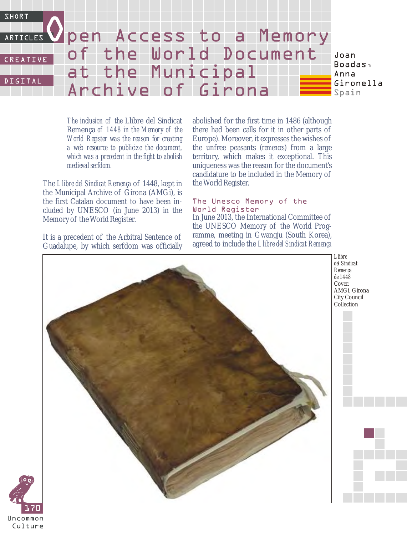| <b>SHORT</b> |                                   |                                  |
|--------------|-----------------------------------|----------------------------------|
|              | ARTICLES V pen Access to a Memory |                                  |
| CREATIVE     | of the World Document             | Joan                             |
| DIGITAL      | at the Municipal                  | Boadas,<br>Anna                  |
|              | Archive of Girona                 | <i><u>Sironella</u></i><br>Spain |

*The inclusion of the* Llibre del Sindicat Remença *of 1448 in the Memory of the World Register was the reason for creating a web resource to publicize the document, which was a precedent in the fight to abolish medieval serfdom.*

The *Llibre del Sindicat Remença* of 1448, kept in the Municipal Archive of Girona (AMGi), is the first Catalan document to have been included by UNESCO (in June 2013) in the Memory of the World Register.

It is a precedent of the Arbitral Sentence of Guadalupe, by which serfdom was officially abolished for the first time in 1486 (although there had been calls for it in other parts of Europe). Moreover, it expresses the wishes of the unfree peasants (*remences*) from a large territory, which makes it exceptional. This uniqueness was the reason for the document's candidature to be included in the Memory of the World Register.

## In June 2013, the International Committee of the UNESCO Memory of the World Programme, meeting in Gwangju (South Korea), agreed to include the *Llibre del Sindicat Remença* The Unesco Memory of the World Register



Uncommon Culture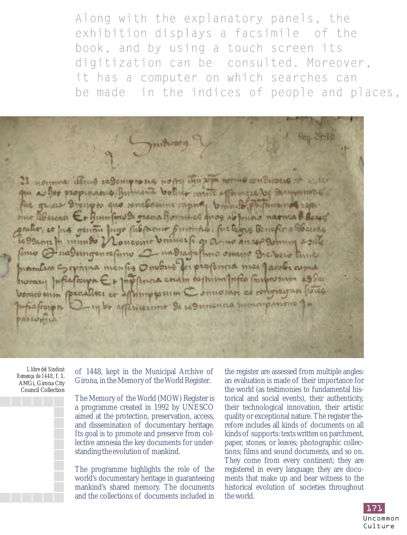Along with the explanatory panels, the exhibition displays a facsimile of the book, and by using a touch screen its digitization can be consulted. Moreover. it has a computer on which searches can be made in the indices of people and places.

millioning 21 norme illing cesony was nopy this som conversations as a se the game Dresspt que conclosum capara branch primeros capa. rue tibascan Er Bumfinula grana Bomines quos ab mino narma il Cesoc probot et pas penso ligo pibpono pintituo, pickegue Benefic Bloccas fimo @ nagempentation 2 na Deagafima oriano Ina berio tima promitara septima menfis Ombre du profession mes garoles auma hwrazy Infactoupor E + Inp fencia cream deprimatorfo forpression 29 for Connocar es congregan bomoo ensu poecalises at aphinpsosion's - 14 br appeares imp - Se cognissana mina parima whaleon to passocius

*Llibre del Sindicat Remença de 1448*, f. 1. AMGi, Girona City Council Collection

of 1448, kept in the Municipal Archive of Girona, in the Memory of the World Register.

The Memory of the World (MOW) Register is a programme created in 1992 by UNESCO aimed at the protection, preservation, access, and dissemination of documentary heritage. Its goal is to promote and preserve from collective amnesia the key documents for understanding the evolution of mankind.

The programme highlights the role of the world's documentary heritage in guaranteeing mankind's shared memory. The documents and the collections of documents included in the register are assessed from multiple angles: an evaluation is made of their importance for the world (as testimonies to fundamental historical and social events), their authenticity, their technological innovation, their artistic quality or exceptional nature. The register therefore includes all kinds of documents on all kinds of supports: texts written on parchment, paper, stones, or leaves; photographic collections; films and sound documents, and so on. They come from every continent; they are registered in every language; they are documents that make up and bear witness to the historical evolution of societies throughout the world.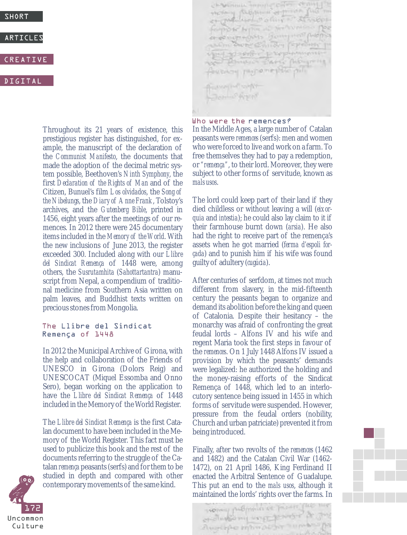| SHORT                  |  |
|------------------------|--|
| <b>ARTICLES</b>        |  |
|                        |  |
| <b>ア P F A T T U F</b> |  |

**DIGITAL** 

Throughout its 21 years of existence, this prestigious register has distinguished, for example, the manuscript of the declaration of the *Communist Manifesto*, the documents that made the adoption of the decimal metric system possible, Beethoven's *Ninth Symphony*, the first *Declaration of the Rights of Man* and of the Citizen, Bunuel's film *Los olvidados*, the *Song of the Nibelungs*, the *Diary of Anne Frank*, Tolstoy's archives, and the *Gutenberg Bible*, printed in 1456, eight years after the meetings of our remences. In 2012 there were 245 documentary items included in the *Memory of the World*. With the new inclusions of June 2013, the register exceeded 300. Included along with our *Llibre del Sindicat Remença* of 1448 were, among others, the *Susrutamhita* (*Sahottartantra*) manuscript from Nepal, a compendium of traditional medicine from Southern Asia written on palm leaves, and Buddhist texts written on precious stones from Mongolia.

The Llibre del Sindicat Remença of 1448

In 2012 the Municipal Archive of Girona, with the help and collaboration of the Friends of UNESCO in Girona (Dolors Reig) and UNESCOCAT (Miquel Essomba and Onno Sero), began working on the application to have the *Llibre del Sindicat Remença* of 1448 included in the Memory of the World Register.

The *Llibre del Sindicat Remença* is the first Catalan document to have been included in the Memory of the World Register. This fact must be used to publicize this book and the rest of the documents referring to the struggle of the Catalan *remença* peasants (serfs) and for them to be studied in depth and compared with other contemporary movements of the same kind.



Sportante automotives a control or comprovers burgent poppe Con Dione Children (Frederic upof ground - L'experiment We British Carly ME group formed holowelge by **County Indianapolis** John Charles

### Who were the remences?

In the Middle Ages, a large number of Catalan peasants were *remences* (serfs): men and women who were forced to live and work on a farm. To free themselves they had to pay a redemption, or *"remença"*, to their lord. Moreover, they were subject to other forms of servitude, known as *mals usos*.

The lord could keep part of their land if they died childless or without leaving a will (*eixorquia* and *intestia*); he could also lay claim to it if their farmhouse burnt down (*arsia*). He also had the right to receive part of the remença's assets when he got married (*ferma d'espoli forçada*) and to punish him if his wife was found guilty of adultery (*cugúcia*).

After centuries of serfdom, at times not much different from slavery, in the mid-fifteenth century the peasants began to organize and demand its abolition before the king and queen of Catalonia. Despite their hesitancy – the monarchy was afraid of confronting the great feudal lords – Alfons IV and his wife and regent Maria took the first steps in favour of the *remences*. On 1 July 1448 Alfons IV issued a provision by which the peasants' demands were legalized: he authorized the holding and the money-raising efforts of the Sindicat Remença of 1448, which led to an interlocutory sentence being issued in 1455 in which forms of servitude were suspended. However, pressure from the feudal orders (nobility, Church and urban patriciate) prevented it from being introduced.

Finally, after two revolts of the *remences* (1462 and 1482) and the Catalan Civil War (1462- 1472), on 21 April 1486, King Ferdinand II enacted the Arbitral Sentence of Guadalupe. This put an end to the *mals usos*, although it maintained the lords' rights over the farms. In

money pubminist pour face me greater would a more to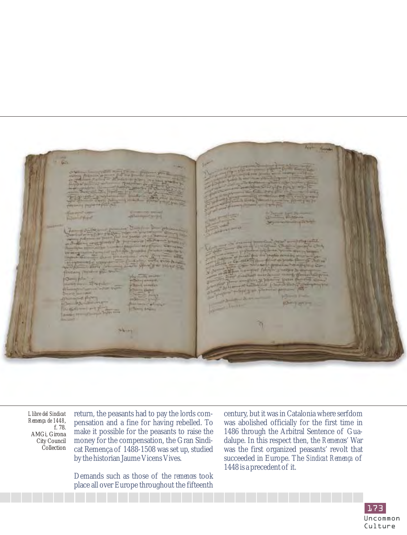

*Llibre del Sindicat Remença de 1448*, f. 78. AMGi, Girona City Council Collection return, the peasants had to pay the lords compensation and a fine for having rebelled. To make it possible for the peasants to raise the money for the compensation, the Gran Sindicat Remença of 1488-1508 was set up, studied by the historian Jaume Vicens Vives.

Demands such as those of the *remences* took place all over Europe throughout the fifteenth

century, but it was in Catalonia where serfdom was abolished officially for the first time in 1486 through the Arbitral Sentence of Guadalupe. In this respect then, the *Remences'* War was the first organized peasants' revolt that succeeded in Europe. The *Sindicat Remença* of 1448 is a precedent of it.

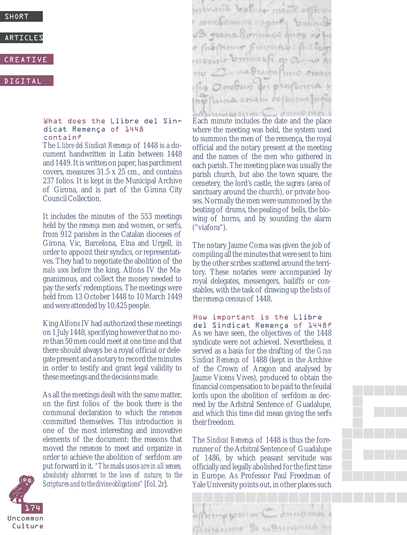**SHORT** 

**ARTICLES** 

#### CREATIVE

**DIGITAL** 

What does the Llibre del Sindicat Remença of 1448 contain?

The *Llibre del Sindicat Remença* of 1448 is a document handwritten in Latin between 1448 and 1449. It is written on paper, has parchment covers, measures 31.5 x 25 cm., and contains 237 folios. It is kept in the Municipal Archive of Girona, and is part of the Girona City Council Collection.

It includes the minutes of the 553 meetings held by the *remença* men and women, or serfs, from 912 parishes in the Catalan dioceses of Girona, Vic, Barcelona, Elna and Urgell, in order to appoint their syndics, or representatives. They had to negotiate the abolition of the *mals usos* before the king, Alfons IV the Magnanimous, and collect the money needed to pay the serfs' redemptions. The meetings were held from 13 October 1448 to 10 March 1449 and were attended by 10,425 people.

King Alfons IV had authorized these meetings on 1 July 1448, specifying however that no more than 50 men could meet at one time and that there should always be a royal official or delegate present and a notary to record the minutes in order to testify and grant legal validity to these meetings and the decisions made.

As all the meetings dealt with the same matter, on the first folios of the book there is the communal declaration to which the *remences* committed themselves. This introduction is one of the most interesting and innovative elements of the document: the reasons that moved the *remences* to meet and organize in order to achieve the abolition of serfdom are put forward in it. *"The* mals usos *are in all senses, absolutely abhorrent to the laws of nature, to the Scriptures and to the divine obligations"* [fol. 2r].



information brother mane affirm Antiferent rapid, based John ground princed group of the o ficoperant Guitaria (112 Page HERME BOOKER & OLINO A - H& DEATH ANNO As Onobore on peop wellwood chain estain para

Each minute includes the date and the place where the meeting was held, the system used to summon the men of the remença, the royal official and the notary present at the meeting and the names of the men who gathered in each parish. The meeting place was usually the parish church, but also the town square, the cemetery, the lord's castle, the *sagrera* (area of sanctuary around the church), or private houses. Normally the men were summoned by the beating of drums, the pealing of bells, the blowing of horns, and by sounding the alarm ("viafora").

The notary Jaume Coma was given the job of compiling all the minutes that were sent to him by the other scribes scattered around the territory. These notaries were accompanied by royal delegates, messengers, bailiffs or constables, with the task of drawing up the lists of the *remença* census of 1448.

As we have seen, the objectives of the 1448 syndicate were not achieved. Nevertheless, it served as a basis for the drafting of the *Gran Sindicat Remença* of 1488 (kept in the Archive of the Crown of Aragon and analysed by Jaume Vicens Vives), produced to obtain the financial compensation to be paid to the feudal lords upon the abolition of serfdom as decreed by the Arbitral Sentence of Guadalupe, and which this time did mean giving the serfs their freedom. How important is the Llibre del Sindicat Remença of 1448?

The *Sindicat Remença* of 1448 is thus the forerunner of the Arbitral Sentence of Guadalupe of 1486, by which peasant servitude was officially and legally abolished for the first time in Europe. As Professor Paul Freedman of Yale University points out, in other places such

afternewsman Comonic

Wester unt Se callmenna in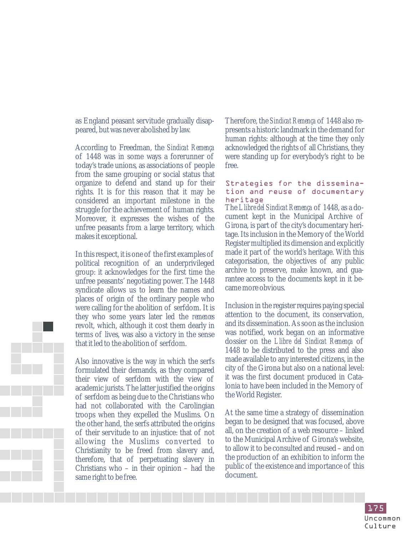as England peasant servitude gradually disappeared, but was never abolished by law.

According to Freedman, the *Sindicat Remença* of 1448 was in some ways a forerunner of today's trade unions, as associations of people from the same grouping or social status that organize to defend and stand up for their rights. It is for this reason that it may be considered an important milestone in the struggle for the achievement of human rights. Moreover, it expresses the wishes of the unfree peasants from a large territory, which makes it exceptional.

In this respect, it is one of the first examples of political recognition of an underprivileged group: it acknowledges for the first time the unfree peasants' negotiating power. The 1448 syndicate allows us to learn the names and places of origin of the ordinary people who were calling for the abolition of serfdom. It is they who some years later led the *remences* revolt, which, although it cost them dearly in terms of lives, was also a victory in the sense that it led to the abolition of serfdom.

Also innovative is the way in which the serfs formulated their demands, as they compared their view of serfdom with the view of academic jurists. The latter justified the origins of serfdom as being due to the Christians who had not collaborated with the Carolingian troops when they expelled the Muslims. On the other hand, the serfs attributed the origins of their servitude to an injustice: that of not allowing the Muslims converted to Christianity to be freed from slavery and, therefore, that of perpetuating slavery in Christians who – in their opinion – had the same right to be free.

Therefore, the *Sindicat Remença* of 1448 also represents a historic landmark in the demand for human rights: although at the time they only acknowledged the rights of all Christians, they were standing up for everybody's right to be free.

### Strategies for the dissemination and reuse of documentary heritage

The *Llibre del Sindicat Remença* of 1448, as a document kept in the Municipal Archive of Girona, is part of the city's documentary heritage. Its inclusion in the Memory of the World Register multiplied its dimension and explicitly made it part of the world's heritage. With this categorisation, the objectives of any public archive to preserve, make known, and guarantee access to the documents kept in it became more obvious.

Inclusion in the register requires paying special attention to the document, its conservation, and its dissemination. As soon as the inclusion was notified, work began on an informative dossier on the *Llibre del Sindicat Remença* of 1448 to be distributed to the press and also made available to any interested citizens, in the city of the Girona but also on a national level: it was the first document produced in Catalonia to have been included in the Memory of the World Register.

At the same time a strategy of dissemination began to be designed that was focused, above all, on the creation of a web resource – linked to the Municipal Archive of Girona's website, to allow it to be consulted and reused – and on the production of an exhibition to inform the public of the existence and importance of this document.



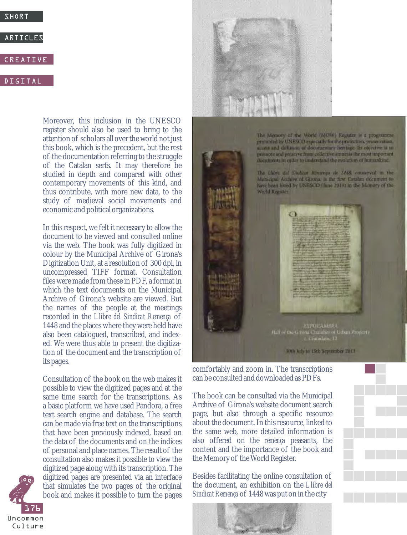**SHORT** 

**ARTICLES** 

### CREATIVE

# **DIGITAL**

Moreover, this inclusion in the UNESCO register should also be used to bring to the attention of scholars all over the world not just this book, which is the precedent, but the rest of the documentation referring to the struggle of the Catalan serfs. It may therefore be studied in depth and compared with other contemporary movements of this kind, and thus contribute, with more new data, to the study of medieval social movements and economic and political organizations.

In this respect, we felt it necessary to allow the document to be viewed and consulted online via the web. The book was fully digitized in colour by the Municipal Archive of Girona's Digitization Unit, at a resolution of 300 dpi, in uncompressed TIFF format. Consultation files were made from these in PDF, a format in which the text documents on the Municipal Archive of Girona's website are viewed. But the names of the people at the meetings recorded in the *Llibre del Sindicat Remença* of 1448 and the places where they were held have also been catalogued, transcribed, and indexed. We were thus able to present the digitization of the document and the transcription of its pages.

Consultation of the book on the web makes it possible to view the digitized pages and at the same time search for the transcriptions. As a basic platform we have used Pandora, a free text search engine and database. The search can be made via free text on the transcriptions that have been previously indexed, based on the data of the documents and on the indices of personal and place names. The result of the consultation also makes it possible to view the digitized page along with its transcription. The digitized pages are presented via an interface that simulates the two pages of the original book and makes it possible to turn the pages





The Memory of the World (MOW) Register is a programme promoted by UNESCO especially for the protection, preservation. many and diffusion of documentary heritage. Its objective is to premote and preserve from collective amnesia the most important documents in order to understand the evolution of humanizind.

The Lillie del Soulicar Remença de 1448, countryed in the Manicipal Archive of Girona is the first Catalan document to have been listed by UNESCO (June 2013) in the Mamory of the World Register



comfortably and zoom in. The transcriptions can be consulted and downloaded as PDFs.

The book can be consulted via the Municipal Archive of Girona's website document search page, but also through a specific resource about the document. In this resource, linked to the same web, more detailed information is also offered on the *remença* peasants, the content and the importance of the book and the Memory of the World Register.

Besides facilitating the online consultation of the document, an exhibition on the *Llibre del Sindicat Remença* of 1448 was put on in the city